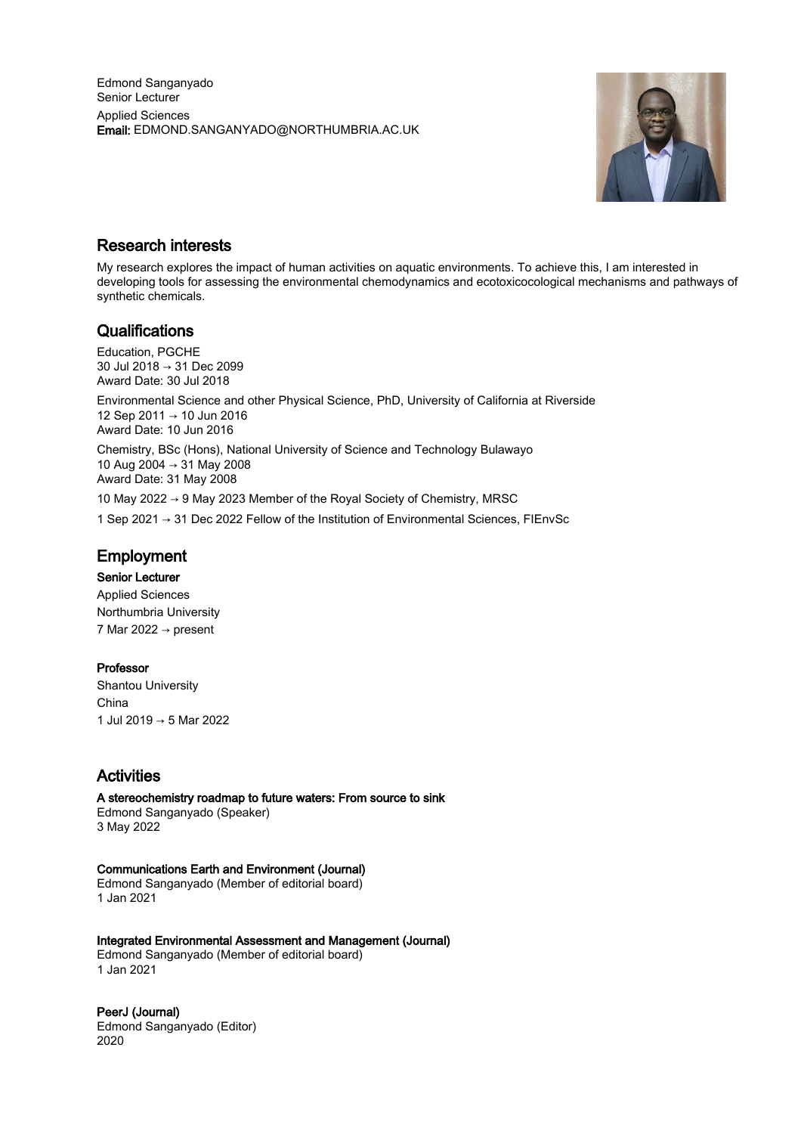

## Research interests

My research explores the impact of human activities on aquatic environments. To achieve this, I am interested in developing tools for assessing the environmental chemodynamics and ecotoxicocological mechanisms and pathways of synthetic chemicals.

## **Qualifications**

Education, PGCHE 30 Jul 2018 → 31 Dec 2099 Award Date: 30 Jul 2018

Environmental Science and other Physical Science, PhD, University of California at Riverside 12 Sep 2011 → 10 Jun 2016 Award Date: 10 Jun 2016

Chemistry, BSc (Hons), National University of Science and Technology Bulawayo 10 Aug 2004 → 31 May 2008 Award Date: 31 May 2008

10 May 2022 → 9 May 2023 Member of the Royal Society of Chemistry, MRSC

1 Sep 2021 → 31 Dec 2022 Fellow of the Institution of Environmental Sciences, FIEnvSc

# Employment

#### Senior Lecturer

Applied Sciences Northumbria University 7 Mar 2022  $\rightarrow$  present

#### Professor

Shantou University China 1 Jul 2019 → 5 Mar 2022

# Activities

A stereochemistry roadmap to future waters: From source to sink Edmond Sanganyado (Speaker) 3 May 2022

#### Communications Earth and Environment (Journal)

Edmond Sanganyado (Member of editorial board) 1 Jan 2021

Integrated Environmental Assessment and Management (Journal) Edmond Sanganyado (Member of editorial board)

1 Jan 2021

PeerJ (Journal) Edmond Sanganyado (Editor) 2020